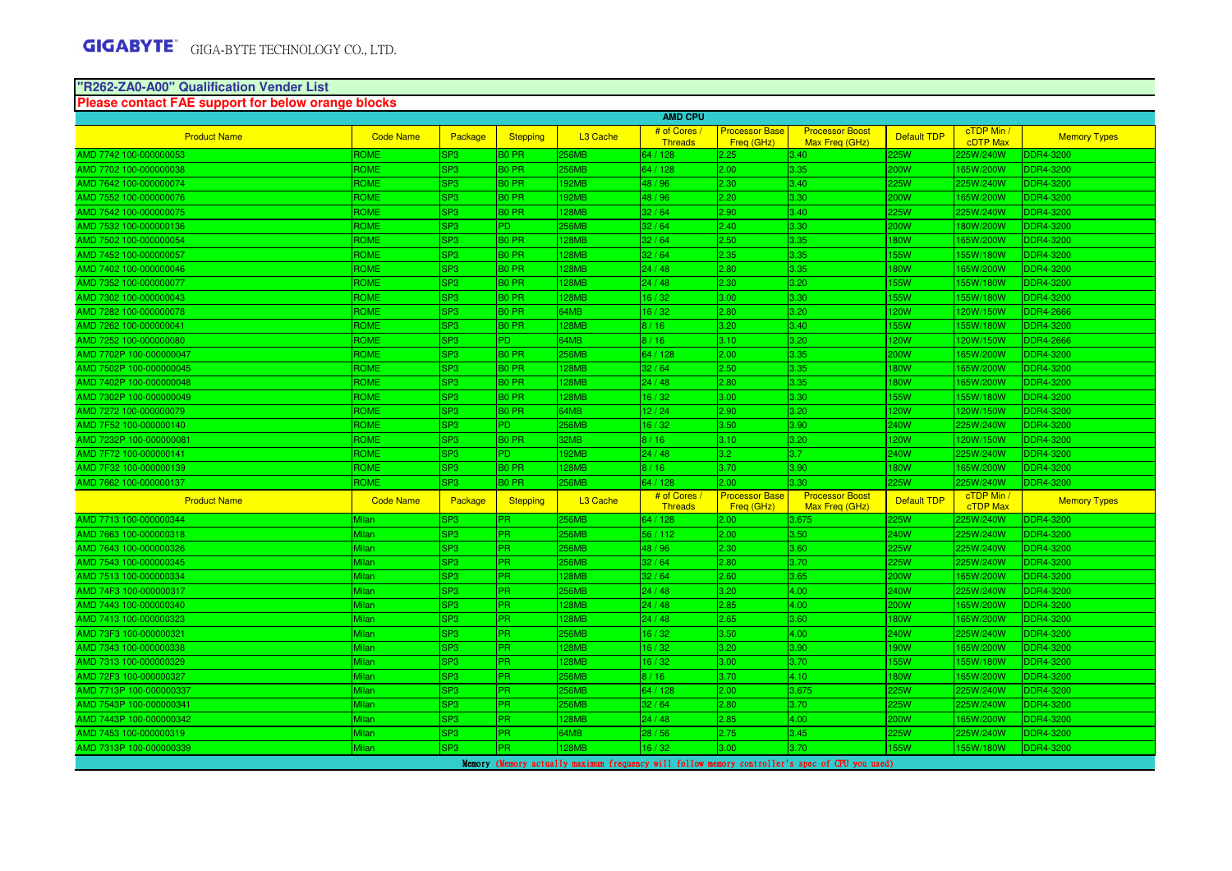#### **"R262-ZA0-A00" Qualification Vender ListPlease contact FAE support for below orange blocks**

|                         | <b>AMD CPU</b>   |         |                   |                      |                                |                                     |                                                                                                 |             |                               |                     |
|-------------------------|------------------|---------|-------------------|----------------------|--------------------------------|-------------------------------------|-------------------------------------------------------------------------------------------------|-------------|-------------------------------|---------------------|
| <b>Product Name</b>     | <b>Code Name</b> | Package | <b>Stepping</b>   | L <sub>3</sub> Cache | # of Cores<br><b>Threads</b>   | <b>Processor Base</b><br>Freq (GHz) | <b>Processor Boost</b><br>Max Freq (GHz)                                                        | Default TDP | cTDP Min /<br><b>cDTP</b> Max | <b>Memory Types</b> |
| AMD 7742 100-000000053  | <b>ROME</b>      | SP3     | B <sub>0</sub> PR | 256MB                | 64 / 128                       | 2.25                                | 3.40 <sub>1</sub>                                                                               | 25W         | 225W/240W                     | <b>DDR4-3200</b>    |
| AMD 7702 100-000000038  | ROME             | SP3     | B <sub>0</sub> PR | 256MB                | 64 / 128                       | 2.00                                | 3.35                                                                                            | 200W        | 165W/200W                     | <b>DDR4-3200</b>    |
| AMD 7642 100-000000074  | ROME             | SP3     | B <sub>0</sub> PR | 192MB                | 48 / 96                        | 2.30                                | 3.40                                                                                            | 25W         | 225W/240W                     | <b>DDR4-3200</b>    |
| AMD 7552 100-000000076  | ROME             | SP3     | B <sub>0</sub> PR | 192MB                | 48 / 96                        | 2.20                                | 3.30 <sub>1</sub>                                                                               | 200W        | 165W/200W                     | <b>DDR4-3200</b>    |
| AMD 7542 100-000000075  | <b>ROME</b>      | SP3     | B <sub>0</sub> PR | 128MB                | 32/64                          | 2.90                                | 3.40                                                                                            | 225W        | 225W/240W                     | <b>DDR4-3200</b>    |
| AMD 7532 100-000000136  | ROME             | SP3     | PD.               | 256MB                | 32/64                          | 2.40                                | 3.30                                                                                            | 200W        | 80W/200W                      | <b>DDR4-3200</b>    |
| AMD 7502 100-000000054  | <b>ROME</b>      | SP3     | <b>BO PR</b>      | 128MB                | 32/64                          | 2.50                                | 3.35                                                                                            | 80W         | 65W/200W                      | <b>DDR4-3200</b>    |
| AMD 7452 100-000000057  | ROME             | SP3     | B <sub>0</sub> PR | 128MB                | 32/64                          | 2.35                                | 3.35                                                                                            | 55W         | 155W/180W                     | <b>DDR4-3200</b>    |
| AMD 7402 100-000000046  | ROME             | SP3     | B <sub>0</sub> PR | 128MB                | 24/48                          | 2.80                                | 3.35                                                                                            | <b>80W</b>  | 65W/200W                      | <b>DDR4-3200</b>    |
| AMD 7352 100-000000077  | ROME             | SP3     | B <sub>0</sub> PR | 128MB                | 24/48                          | 2.30                                | 3.20                                                                                            | 55W         | 155W/180W                     | <b>DDR4-3200</b>    |
| AMD 7302 100-000000043  | ROME             | SP3     | B <sub>0</sub> PR | 128MB                | 16/32                          | 3.00                                | 3.30                                                                                            | 55W         | 55W/180W                      | <b>DDR4-3200</b>    |
| AMD 7282 100-000000078  | ROME             | SP3     | B <sub>0</sub> PR | 64MB                 | 16/32                          | 2.80                                | 3.20                                                                                            | <b>20W</b>  | 120W/150W                     | <b>DDR4-2666</b>    |
| AMD 7262 100-000000041  | <b>ROME</b>      | SP3     | B <sub>0</sub> PR | 128MB                | 8/16                           | 3.20                                | 3.40                                                                                            | 55W         | 155W/180W                     | <b>DDR4-3200</b>    |
| AMD 7252 100-000000080  | ROME             | SP3     | P <sub>D</sub>    | 64MB                 | 8/16                           | 3.10                                | 3.20                                                                                            | 120W        | 120W/150W                     | <b>DDR4-2666</b>    |
| AMD 7702P 100-000000047 | ROME             | SP3     | B <sub>0</sub> PR | 256MB                | 64 / 128                       | 2.00                                | 3.35                                                                                            | 200W        | 165W/200W                     | <b>DDR4-3200</b>    |
| AMD 7502P 100-000000045 | ROME             | SP3     | B <sub>0</sub> PR | 128MB                | 32/64                          | 2.50                                | 3.35                                                                                            | 80W         | 165W/200W                     | <b>DDR4-3200</b>    |
| AMD 7402P 100-000000048 | ROME             | SP3     | B <sub>0</sub> PR | 128MB                | 24/48                          | 2.80                                | 3.35                                                                                            | <b>80W</b>  | 165W/200W                     | <b>DDR4-3200</b>    |
| AMD 7302P 100-000000049 | ROME             | SP3     | B <sub>0</sub> PR | 128MB                | 16/32                          | 3.00                                | 3.30                                                                                            | 155W        | 155W/180W                     | <b>DDR4-3200</b>    |
| AMD 7272 100-000000079  | ROME             | SP3     | B <sub>0</sub> PR | 64MB                 | 12/24                          | 2.90                                | 3.20                                                                                            | <b>20W</b>  | 120W/150W                     | <b>DDR4-3200</b>    |
| AMD 7F52 100-000000140  | ROME             | SP3     | PD.               | 256MB                | 16/32                          | 3.50                                | 3.90                                                                                            | 240W        | 225W/240W                     | <b>DDR4-3200</b>    |
| AMD 7232P 100-000000081 | <b>ROME</b>      | SP3     | B <sub>0</sub> PR | 32MB                 | 8/16                           | 3.10                                | 3.20                                                                                            | 120W        | 120W/150W                     | <b>DDR4-3200</b>    |
| AMD 7F72 100-000000141  | <b>ROME</b>      | SP3     | P <sub>D</sub>    | 192MB                | 24/48                          | 3.2 <sub>1</sub>                    | 3.7                                                                                             | 240W        | 225W/240W                     | <b>DDR4-3200</b>    |
| AMD 7F32 100-000000139  | ROME             | SP3     | B <sub>0</sub> PR | 128MB                | 8/16                           | 3.70                                | 3.90                                                                                            | <b>80W</b>  | 165W/200W                     | <b>DDR4-3200</b>    |
| AMD 7662 100-000000137  | ROME             | SP3     | B0 PR             | 256MB                | 64 / 128                       | 2.00                                | 3.30                                                                                            | 25W         | 225W/240W                     | <b>DDR4-3200</b>    |
| <b>Product Name</b>     | <b>Code Name</b> | Package | <b>Stepping</b>   | L <sub>3</sub> Cache | # of Cores /<br><b>Threads</b> | <b>Processor Base</b><br>Freq (GHz) | <b>Processor Boost</b><br>Max Freq (GHz)                                                        | Default TDP | cTDP Min /<br>cTDP Max        | <b>Memory Types</b> |
| AMD 7713 100-000000344  | Milan            | SP3     | <b>PR</b>         | 256MB                | 64 / 128                       | 2.00                                | 3.675                                                                                           | 225W        | 225W/240W                     | <b>DDR4-3200</b>    |
| AMD 7663 100-000000318  | Milan            | SP3     | <b>PR</b>         | 256MB                | 56 / 112                       | 2.00                                | 3.50                                                                                            | 40W         | 225W/240W                     | <b>DDR4-3200</b>    |
| AMD 7643 100-000000326  | Milan            | SP3     | PR.               | 256MB                | 48 / 96                        | 2.30                                | 3.60                                                                                            | 25W         | 225W/240W                     | <b>DDR4-3200</b>    |
| AMD 7543 100-000000345  | Milan            | SP3     | PR.               | 256MB                | 32/64                          | 2.80                                | 3.70                                                                                            | 25W         | 225W/240W                     | <b>DDR4-3200</b>    |
| AMD 7513 100-000000334  | Milan            | SP3     | PR.               | 128MB                | 32/64                          | 2.60                                | 3.65                                                                                            | 200W        | 65W/200W                      | <b>DDR4-3200</b>    |
| AMD 74F3 100-000000317  | Milan            | SP3     | PR.               | 256MB                | 24/48                          | 3.20                                | 4.00                                                                                            | 240W        | 225W/240W                     | <b>DDR4-3200</b>    |
| AMD 7443 100-000000340  | Milan            | SP3     | PR                | 128MB                | 24/48                          | 2.85                                | 4.00                                                                                            | 200W        | 65W/200W                      | <b>DDR4-3200</b>    |
| AMD 7413 100-000000323  | Milan            | SP3     | PR.               | 128MB                | 24/48                          | 2.65                                | 3.60                                                                                            | <b>80W</b>  | 165W/200W                     | <b>DDR4-3200</b>    |
| AMD 73F3 100-000000321  | Milan            | SP3     | PR.               | 256MB                | 16/32                          | 3.50                                | 4.00                                                                                            | 240W        | 225W/240W                     | <b>DDR4-3200</b>    |
| AMD 7343 100-000000338  | Milan            | SP3     | <b>PR</b>         | 128MB                | 16/32                          | 3.20                                | 3.90                                                                                            | 90W         | 165W/200W                     | <b>DDR4-3200</b>    |
| AMD 7313 100-000000329  | Milan            | SP3     | <b>PR</b>         | 128MB                | 16/32                          | 3.00 <sub>1</sub>                   | 3.70                                                                                            | 55W         | 55W/180W                      | <b>DDR4-3200</b>    |
| AMD 72F3 100-000000327  | Milan            | SP3     | PR.               | 256MB                | 8/16                           | 3.70                                | 4.10                                                                                            | <b>80W</b>  | 165W/200W                     | <b>DDR4-3200</b>    |
| AMD 7713P 100-000000337 | Milan            | SP3     | <b>PR</b>         | 256MB                | 64 / 128                       | 2.00                                | 3.675                                                                                           | 25W         | 225W/240W                     | <b>DDR4-3200</b>    |
| AMD 7543P 100-000000341 | Milan            | SP3     | <b>PR</b>         | 256MB                | 32/64                          | 2.80                                | 3.70                                                                                            | 25W         | 225W/240W                     | <b>DDR4-3200</b>    |
| AMD 7443P 100-000000342 | Milan            | SP3     | <b>PR</b>         | 128MB                | 24/48                          | 2.85                                | 4.00                                                                                            | 200W        | 65W/200W                      | <b>DDR4-3200</b>    |
| AMD 7453 100-000000319  | Milan            | SP3     | PR.               | 64MB                 | 28 / 56                        | 2.75                                | 3.45                                                                                            | 225W        | 225W/240W                     | <b>DDR4-3200</b>    |
| AMD 7313P 100-000000339 | <b>Milan</b>     | SP3     | IPR.              | 128MB                | 16/32                          | 3.00                                | 3.70                                                                                            | 55W         | 155W/180W                     | <b>DDR4-3200</b>    |
|                         |                  |         |                   |                      |                                |                                     | Memory (Memory actually maximum frequency will follow memory controller's spec of CPU you used) |             |                               |                     |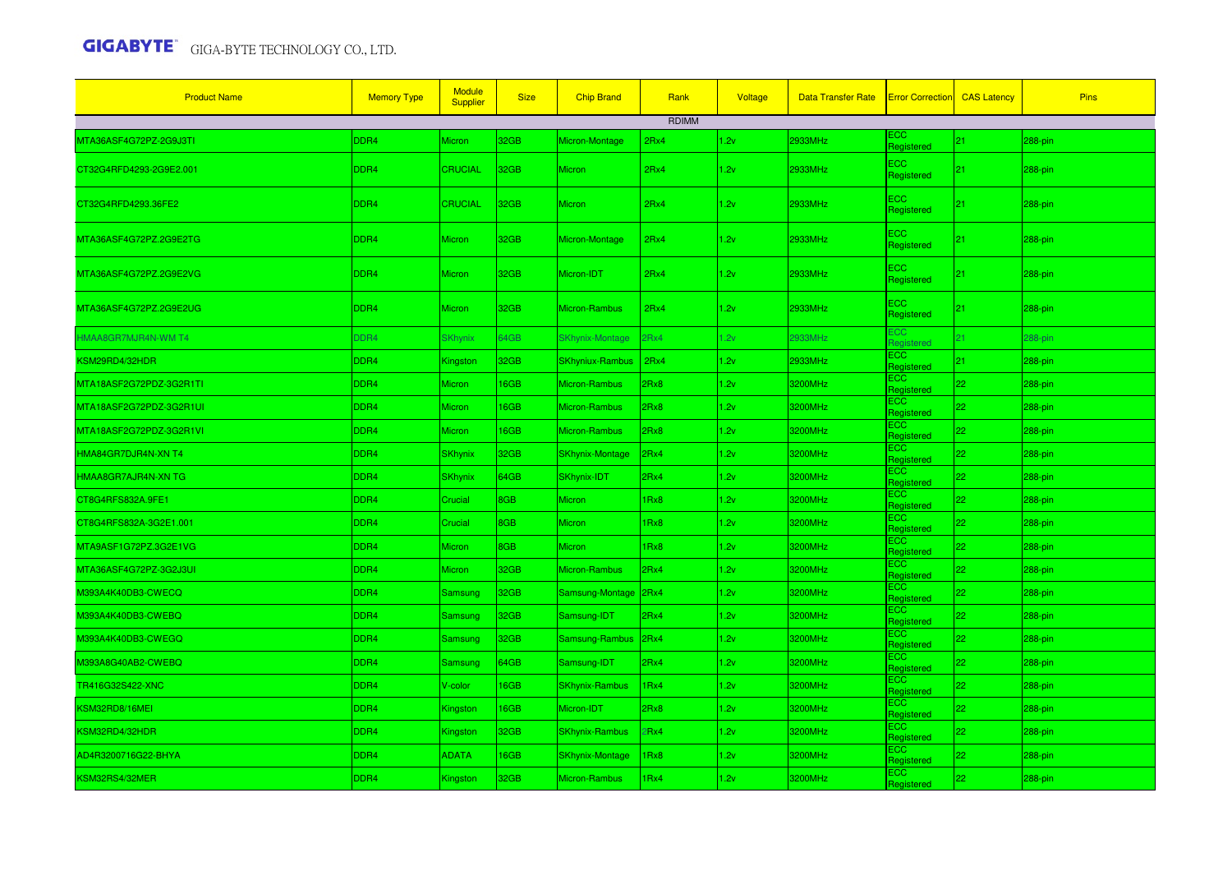| <b>Product Name</b>     | <b>Memory Type</b> | <b>Module</b><br><b>Supplier</b> | <b>Size</b> | <b>Chip Brand</b>      | Rank         | Voltage | <b>Data Transfer Rate</b> | <b>Error Correction</b>  | <b>CAS Latency</b> | <b>Pins</b> |
|-------------------------|--------------------|----------------------------------|-------------|------------------------|--------------|---------|---------------------------|--------------------------|--------------------|-------------|
|                         |                    |                                  |             |                        | <b>RDIMM</b> |         |                           |                          |                    |             |
| MTA36ASF4G72PZ-2G9J3TI  | DDR4               | Micron                           | 32GB        | Micron-Montage         | 2Rx4         | 1.2v    | 2933MHz                   | ECC.<br>Registered       | 21                 | 288-pin     |
| CT32G4RFD4293-2G9E2.001 | DDR4               | <b>CRUCIAL</b>                   | 32GB        | <b>Micron</b>          | 2Rx4         | 1.2v    | 2933MHz                   | ECC<br>Registered        | $ 21\rangle$       | 288-pin     |
| CT32G4RFD4293.36FE2     | DDR4               | <b>CRUCIAL</b>                   | 32GB        | <b>Micron</b>          | 2Rx4         | 1.2v    | 2933MHz                   | <b>ECC</b><br>Registered | $ 21\rangle$       | 288-pin     |
| MTA36ASF4G72PZ.2G9E2TG  | DDR4               | <b>Micron</b>                    | 32GB        | <b>Micron-Montage</b>  | 2Rx4         | 1.2v    | 2933MHz                   | <b>ECC</b><br>Registered | 21                 | 288-pin     |
| MTA36ASF4G72PZ.2G9E2VG  | DDR4               | <b>Micron</b>                    | 32GB        | Micron-IDT             | 2Rx4         | 1.2v    | 2933MHz                   | <b>ECC</b><br>Registered | 21                 | 288-pin     |
| MTA36ASF4G72PZ.2G9E2UG  | DDR4               | <b>Micron</b>                    | 32GB        | <b>Micron-Rambus</b>   | 2Rx4         | 1.2v    | 2933MHz                   | <b>ECC</b><br>Registered | $ 21\rangle$       | 288-pin     |
| HMAA8GR7MJR4N-WM T4     | DDR4               | <b>SKhynix</b>                   | 34GB        | <b>SKhynix-Montage</b> | 2Rx4         | 1.2v    | 2933MHz                   | ECC.<br>Reaistered       | 21                 | $288$ -pin  |
| <b>(SM29RD4/32HDR</b>   | DDR4               | Kingston                         | 32GB        | <b>SKhyniux-Rambus</b> | 2Rx4         | 1.2v    | 2933MHz                   | ECC<br>Registered        | 21                 | 288-pin     |
| MTA18ASF2G72PDZ-3G2R1TI | DDR4               | <b>Micron</b>                    | 6GB         | Micron-Rambus          | 2Rx8         | 1.2v    | 3200MHz                   | ECC<br>Registered        | 22                 | 288-pin     |
| MTA18ASF2G72PDZ-3G2R1UI | DDR4               | <b>Micron</b>                    | 6GB         | Micron-Rambus          | 2Rx8         | 1.2v    | 3200MHz                   | <b>ECC</b><br>Registered | 22                 | 288-pin     |
| MTA18ASF2G72PDZ-3G2R1VI | DDR4               | <b>Micron</b>                    | <b>I6GB</b> | Micron-Rambus          | 2Rx8         | 1.2v    | 3200MHz                   | ECC<br>Registered        | 22                 | 288-pin     |
| HMA84GR7DJR4N-XN T4     | DDR4               | <b>SKhynix</b>                   | 32GB        | <b>SKhynix-Montage</b> | 2Rx4         | 1.2v    | 3200MHz                   | <b>ECC</b><br>Registered | 22                 | 288-pin     |
| HMAA8GR7AJR4N-XN TG     | DDR4               | <b>SKhynix</b>                   | 64GB        | SKhynix-IDT            | 2Rx4         | 1.2v    | 3200MHz                   | <b>ECC</b><br>Registered | 22                 | 288-pin     |
| CT8G4RFS832A.9FE1       | DDR4               | Crucial                          | <b>BGB</b>  | <b>Micron</b>          | 1Rx8         | 1.2v    | 3200MHz                   | ECC.<br>Registered       | 22                 | 288-pin     |
| CT8G4RFS832A-3G2E1.001  | DDR4               | Crucial                          | <b>BGB</b>  | Micron                 | 1Rx8         | 1.2v    | 3200MHz                   | <b>ECC</b><br>Registered | 22                 | 288-pin     |
| MTA9ASF1G72PZ.3G2E1VG   | DDR4               | <b>Micron</b>                    | <b>BGB</b>  | <b>Micron</b>          | 1Rx8         | 1.2v    | 3200MHz                   | ECC<br>Registered        | 22                 | 288-pin     |
| MTA36ASF4G72PZ-3G2J3UI  | DDR4               | <b>Micron</b>                    | 32GB        | Micron-Rambus          | 2Rx4         | 1.2v    | 3200MHz                   | <b>ECC</b><br>Registered | 22                 | 288-pin     |
| V393A4K40DB3-CWECQ      | DDR4               | Samsung                          | 32GB        | Samsung-Montage        | 2Rx4         | 1.2v    | 3200MHz                   | ECC<br>Registered        | 22                 | 288-pin     |
| M393A4K40DB3-CWEBQ      | DDR4               | Samsung                          | 32GB        | Samsung-IDT            | 2Rx4         | 1.2v    | 3200MHz                   | <b>ECC</b><br>Registered | 22                 | 288-pin     |
| M393A4K40DB3-CWEGQ      | DDR <sub>4</sub>   | Samsung                          | 32GB        | Samsung-Rambus         | 2Rx4         | 1.2v    | 3200MHz                   | ECC.<br>Registered       | 22                 | 288-pin     |
| M393A8G40AB2-CWEBQ      | DDR4               | Samsung                          | 64GB        | Samsung-IDT            | 2Rx4         | 1.2v    | 3200MHz                   | ECC.<br>Registered       | 22                 | 288-pin     |
| TR416G32S422-XNC        | DDR4               | V-color                          | 6GB         | <b>SKhynix-Rambus</b>  | 1Rx4         | 1.2v    | 3200MHz                   | ECC<br>Registered        | 22                 | 288-pin     |
| KSM32RD8/16MEI          | DDR4               | Kingston                         | 6GB         | Micron-IDT             | 2Rx8         | 1.2v    | 3200MHz                   | <b>ECC</b><br>Registered | 22                 | 288-pin     |
| KSM32RD4/32HDR          | DDR4               | Kingston                         | 32GB        | <b>SKhynix-Rambus</b>  | 2Rx4         | 1.2v    | 3200MHz                   | <b>ECC</b><br>Registered | 22                 | 288-pin     |
| AD4R3200716G22-BHYA     | DDR4               | <b>ADATA</b>                     | 6GB         | <b>SKhynix-Montage</b> | 1Rx8         | 1.2v    | 3200MHz                   | ECC<br>Registered        | 22                 | 288-pin     |
| KSM32RS4/32MER          | DDR4               | Kingston                         | 32GB        | Micron-Rambus          | 1Rx4         | 1.2v    | 3200MHz                   | <b>ECC</b><br>Registered | 22                 | 288-pin     |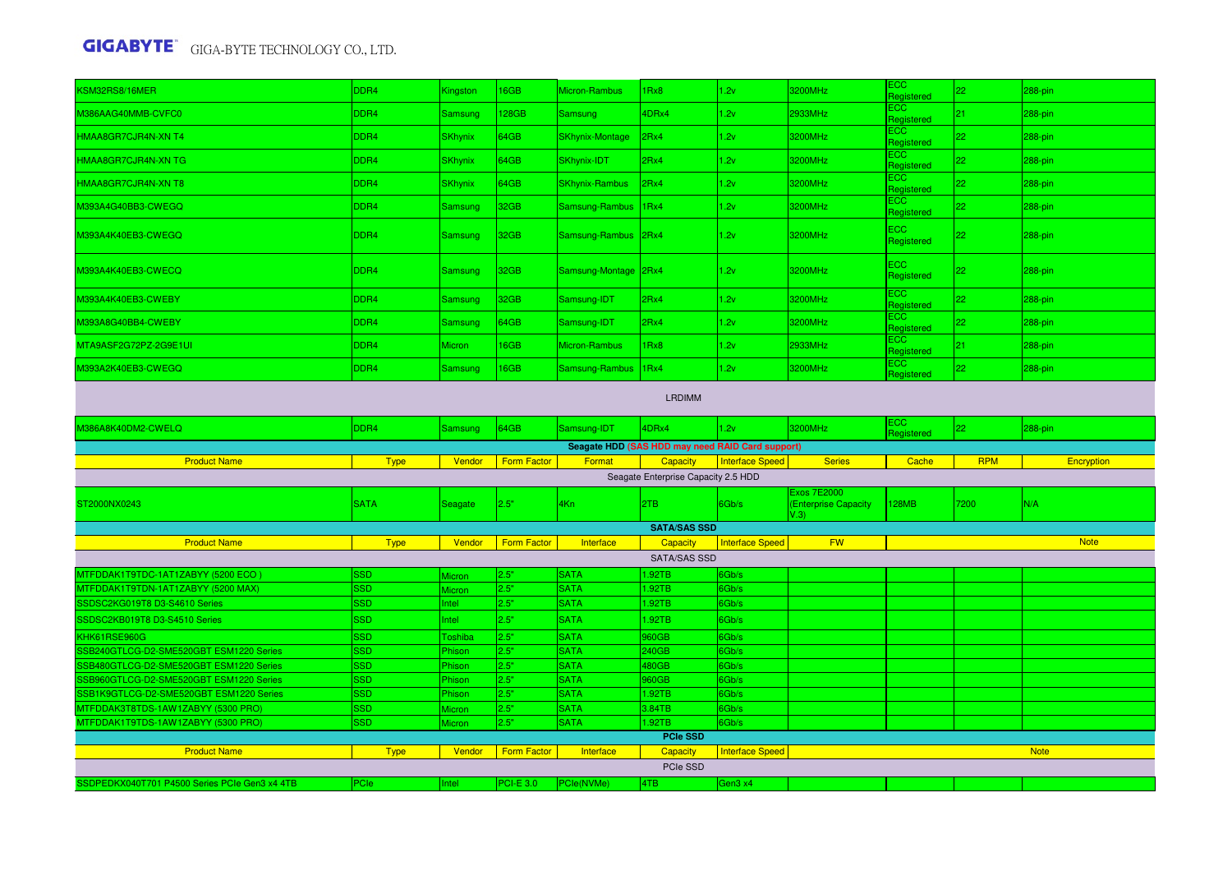| KSM32RS8/16MER                                          | DDR4             | <b>Kingston</b>          | 16GB               | Micron-Rambus              | 1Rx8                                             | 1.2v                   | 3200MHz                                            | EСC<br>Registered        | 22         | 288-pin     |
|---------------------------------------------------------|------------------|--------------------------|--------------------|----------------------------|--------------------------------------------------|------------------------|----------------------------------------------------|--------------------------|------------|-------------|
| M386AAG40MMB-CVFC0                                      | DDR4             | Samsung                  | 128GB              | Samsung                    | 4DRx4                                            | 1.2v                   | 2933MHz                                            | ECC<br>Registered        | 21         | 288-pin     |
| HMAA8GR7CJR4N-XN T4                                     | DDR4             | <b>SKhynix</b>           | 64GB               | <b>SKhynix-Montage</b>     | 2Rx4                                             | 1.2v                   | 3200MHz                                            | ECC.<br>Registered       | 22         | 288-pin     |
| HMAA8GR7CJR4N-XN TG                                     | DDR4             | <b>SKhynix</b>           | 64GB               | <b>SKhynix-IDT</b>         | 2Rx4                                             | 1.2v                   | 3200MHz                                            | ECC.<br>Registered       | 22         | 288-pin     |
| HMAA8GR7CJR4N-XN T8                                     | DDR <sub>4</sub> | <b>SKhynix</b>           | 64GB               | <b>SKhynix-Rambus</b>      | 2Rx4                                             | 1.2v                   | 3200MHz                                            | ECC<br>Registered        | 22         | 288-pin     |
| M393A4G40BB3-CWEGQ                                      | DDR <sub>4</sub> | Samsung                  | 32GB               | Samsung-Rambus             | 1Rx4                                             | 1.2v                   | 3200MHz                                            | ECC.<br>Registered       | 22         | 288-pin     |
| M393A4K40EB3-CWEGQ                                      | DDR4             | Samsung                  | 32GB               | Samsung-Rambus 2Rx4        |                                                  | 1.2v                   | 3200MHz                                            | <b>ECC</b><br>Registered | 22         | 288-pin     |
| M393A4K40EB3-CWECQ                                      | DDR4             | Samsung                  | 32GB               | Samsung-Montage 2Rx4       |                                                  | 1.2v                   | 3200MHz                                            | ECC.<br>Registered       | 22         | 288-pin     |
| M393A4K40EB3-CWEBY                                      | DDR4             | Samsung                  | 32GB               | Samsung-IDT                | 2Rx4                                             | 1.2v                   | 3200MHz                                            | <b>ECC</b><br>Registered | 22         | 288-pin     |
| M393A8G40BB4-CWEBY                                      | DDR4             | Samsung                  | 64GB               | Samsung-IDT                | 2Rx4                                             | 1.2v                   | 3200MHz                                            | ECC.<br>Registered       | 22         | 288-pin     |
| MTA9ASF2G72PZ-2G9E1UI                                   | DDR4             | <b>Micron</b>            | 16GB               | Micron-Rambus              | 1Rx8                                             | 1.2v                   | 2933MHz                                            | ECC.<br>Registered       | 21         | 288-pin     |
| M393A2K40EB3-CWEGQ                                      | DDR4             | Samsung                  | 16GB               | Samsung-Rambus             | 1Rx4                                             | 1.2v                   | 3200MHz                                            | ECC.<br>Registered       | 22         | 288-pin     |
| <b>LRDIMM</b>                                           |                  |                          |                    |                            |                                                  |                        |                                                    |                          |            |             |
| M386A8K40DM2-CWELQ                                      | DDR <sub>4</sub> | Samsung                  | 64GB               | Samsung-IDT                | 4DRx4                                            | 1.2v                   | 3200MHz                                            | ECC<br>Registered        | 22         | 288-pin     |
|                                                         |                  |                          |                    |                            | Seagate HDD (SAS HDD may need RAID Card support) |                        |                                                    |                          |            |             |
| <b>Product Name</b>                                     | <b>Type</b>      |                          |                    |                            |                                                  |                        |                                                    |                          |            |             |
|                                                         |                  | Vendor                   | <b>Form Factor</b> | Format                     | Capacity                                         | Interface Speed        | <b>Series</b>                                      | Cache                    | <b>RPM</b> | Encryption  |
|                                                         |                  |                          |                    |                            | Seagate Enterprise Capacity 2.5 HDD              |                        |                                                    |                          |            |             |
| ST2000NX0243                                            | <b>SATA</b>      | Seagate                  | 2.5"               | 4Kn                        | 2TB                                              | 6Gb/s                  | <b>Exos 7E2000</b><br>(Enterprise Capacity<br>V.3) | <b>128MB</b>             | 7200       | N/A         |
|                                                         |                  |                          |                    |                            | <b>SATA/SAS SSD</b>                              |                        |                                                    |                          |            |             |
| <b>Product Name</b>                                     | <b>Type</b>      | Vendor                   | <b>Form Factor</b> | Interface                  | Capacity                                         | Interface Speed        | <b>FW</b>                                          |                          |            | <b>Note</b> |
|                                                         |                  |                          |                    |                            | <b>SATA/SAS SSD</b>                              |                        |                                                    |                          |            |             |
| MTFDDAK1T9TDC-1AT1ZABYY (5200 ECO)                      | <b>SSD</b>       | Micron                   | 2.5"               | <b>SATA</b>                | 1.92TB                                           | 6Gb/s                  |                                                    |                          |            |             |
| MTFDDAK1T9TDN-1AT1ZABYY (5200 MAX)                      | SSD              | Micron                   | 2.5"               | <b>SATA</b>                | 1.92TB                                           | 6Gb/s                  |                                                    |                          |            |             |
| SSDSC2KG019T8 D3-S4610 Series                           | SSD              | ntel                     | 2.5"               | <b>SATA</b>                | 1.92TB                                           | 6Gb/s                  |                                                    |                          |            |             |
| SSDSC2KB019T8 D3-S4510 Series                           | <b>SSD</b>       | Intel                    | 2.5"               | <b>SATA</b>                | 1.92TB                                           | 6Gb/s                  |                                                    |                          |            |             |
|                                                         |                  |                          |                    |                            |                                                  |                        |                                                    |                          |            |             |
| KHK61RSE960G<br>SSB240GTLCG-D2-SME520GBT ESM1220 Series | SSD<br>SSD       | <b>Toshiba</b><br>Phison | 2.5"<br>2.5"       | <b>SATA</b><br><b>SATA</b> | 960GB<br>240GB                                   | 6Gb/s<br>6Gb/s         |                                                    |                          |            |             |
| SSB480GTLCG-D2-SME520GBT ESM1220 Series                 | <b>SSD</b>       | Phison                   | 2.5"               | <b>SATA</b>                | 480GB                                            | 6Gb/s                  |                                                    |                          |            |             |
| SSB960GTLCG-D2-SME520GBT ESM1220 Series                 | SSD              | Phison                   | 2.5"               | <b>SATA</b>                | 960GB                                            | 6Gb/s                  |                                                    |                          |            |             |
| SSB1K9GTLCG-D2-SME520GBT ESM1220 Series                 | SSD              | Phison                   | 2.5"               | <b>SATA</b>                | 1.92TB                                           | 6Gb/s                  |                                                    |                          |            |             |
| MTFDDAK3T8TDS-1AW1ZABYY (5300 PRO)                      | <b>SSD</b>       | Micron                   | 2.5"               | <b>SATA</b>                | 3.84TB                                           | 6Gb/s                  |                                                    |                          |            |             |
| MTFDDAK1T9TDS-1AW1ZABYY (5300 PRO)                      | SSD              | Micron                   | 2.5"               | <b>SATA</b>                | 1.92TB                                           | 6Gb/s                  |                                                    |                          |            |             |
|                                                         |                  |                          |                    |                            | <b>PCIe SSD</b>                                  |                        |                                                    |                          |            |             |
| <b>Product Name</b>                                     | <b>Type</b>      | Vendor                   | <b>Form Factor</b> | Interface                  | Capacity                                         | <b>Interface Speed</b> |                                                    |                          |            | <b>Note</b> |
|                                                         |                  |                          |                    |                            | PCIe SSD                                         |                        |                                                    |                          |            |             |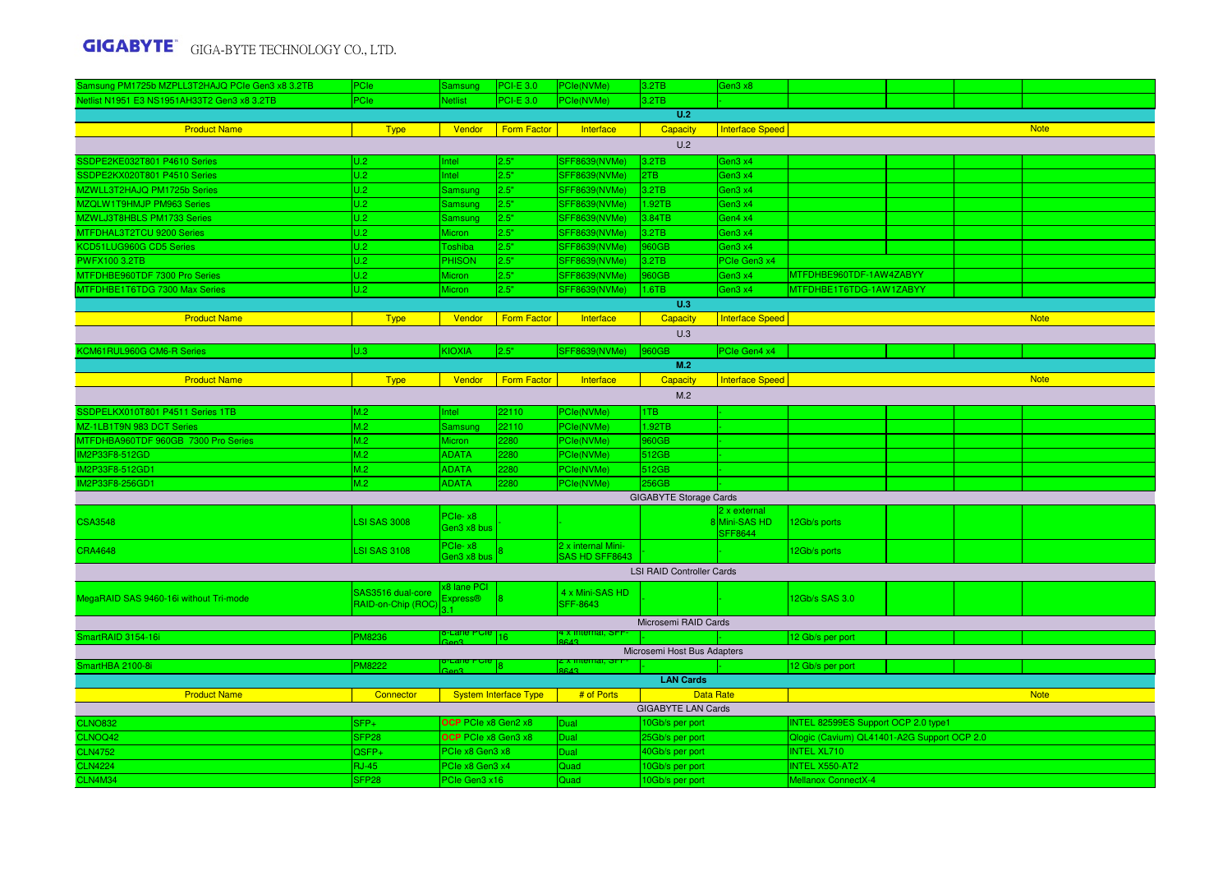| Samsung PM1725b MZPLL3T2HAJQ PCIe Gen3 x8 3.2TB | PCIe                | Samsung                    | <b>PCI-E 3.0</b>             | PCle(NVMe)                           | 3.2TB                            | Gen3 x8                |                                             |  |  |             |
|-------------------------------------------------|---------------------|----------------------------|------------------------------|--------------------------------------|----------------------------------|------------------------|---------------------------------------------|--|--|-------------|
| Netlist N1951 E3 NS1951AH33T2 Gen3 x8 3.2TB     | PCle                | <b>Netlist</b>             | <b>PCI-E 3.0</b>             | PCle(NVMe)                           | 3.2TB                            |                        |                                             |  |  |             |
|                                                 |                     |                            |                              |                                      | U.2                              |                        |                                             |  |  |             |
| <b>Product Name</b>                             | <b>Type</b>         | Vendor                     | <b>Form Factor</b>           | Interface                            | Capacity                         | <b>Interface Speed</b> |                                             |  |  | <b>Note</b> |
|                                                 |                     |                            |                              |                                      | U.2                              |                        |                                             |  |  |             |
|                                                 |                     |                            |                              |                                      |                                  |                        |                                             |  |  |             |
| SSDPE2KE032T801 P4610 Series                    | U.2                 | ntel                       | 2.5"                         | SFF8639(NVMe)                        | 3.2TB                            | Gen3 x4                |                                             |  |  |             |
| SSDPE2KX020T801 P4510 Series                    | U.2                 | Intel                      | 2.5"                         | <b>SFF8639(NVMe)</b>                 | 2TB                              | Gen3 x4                |                                             |  |  |             |
| MZWLL3T2HAJQ PM1725b Series                     | U.2                 | Samsung                    | 2.5"                         | <b>SFF8639(NVMe)</b>                 | 3.2TB                            | Gen3 x4                |                                             |  |  |             |
| MZQLW1T9HMJP PM963 Series                       | U.2                 | Samsung                    | 2.5"                         | <b>SFF8639(NVMe)</b>                 | 1.92TB                           | Gen3 x4                |                                             |  |  |             |
| MZWLJ3T8HBLS PM1733 Series                      | U.2                 | Samsung                    | 2.5"                         | <b>SFF8639(NVMe)</b>                 | 3.84TB                           | Gen4 x4                |                                             |  |  |             |
| MTFDHAL3T2TCU 9200 Series                       | U.2                 | Micron                     | 2.5"                         | <b>SFF8639(NVMe)</b>                 | 3.2TB                            | Gen3 x4                |                                             |  |  |             |
| KCD51LUG960G CD5 Series                         | U.2                 | <b>Toshiba</b>             | 2.5"                         | <b>SFF8639(NVMe)</b>                 | 960GB                            | Gen3 x4                |                                             |  |  |             |
| <b>PWFX100 3.2TB</b>                            | U.2                 | <b>PHISON</b>              | 2.5"                         | <b>SFF8639(NVMe)</b>                 | 3.2TB                            | PCIe Gen3 x4           |                                             |  |  |             |
| MTFDHBE960TDF 7300 Pro Series                   | U.2                 | <b>Micron</b>              | 2.5"                         | <b>SFF8639(NVMe)</b>                 | 960GB                            | Gen3 x4                | MTFDHBE960TDF-1AW4ZABYY                     |  |  |             |
| MTFDHBE1T6TDG 7300 Max Series                   | U.2                 | Micron                     | 2.5"                         | <b>SFF8639(NVMe)</b>                 | 1.6TB                            | Gen3 x4                | MTFDHBE1T6TDG-1AW1ZABYY                     |  |  |             |
|                                                 |                     |                            |                              |                                      | U.3                              |                        |                                             |  |  |             |
| <b>Product Name</b>                             | <b>Type</b>         | Vendor                     | Form Factor                  | Interface                            | Capacity                         | <b>Interface Speed</b> |                                             |  |  | <b>Note</b> |
|                                                 |                     |                            |                              |                                      | U.3                              |                        |                                             |  |  |             |
| KCM61RUL960G CM6-R Series                       | U.3                 | KIOXIA                     | 2.5"                         | SFF8639(NVMe)                        | 960GB                            | PCIe Gen4 x4           |                                             |  |  |             |
|                                                 |                     |                            |                              |                                      | M.2                              |                        |                                             |  |  |             |
| <b>Product Name</b>                             | <b>Type</b>         | Vendor                     | <b>Form Factor</b>           | Interface                            | Capacity                         | <b>Interface Speed</b> |                                             |  |  | <b>Note</b> |
|                                                 |                     |                            |                              |                                      | M.2                              |                        |                                             |  |  |             |
| SSDPELKX010T801 P4511 Series 1TB                | M.2                 | ntel                       | 22110                        | PCle(NVMe)                           | 1TB                              |                        |                                             |  |  |             |
| MZ-1LB1T9N 983 DCT Series                       | M.2                 | Samsung                    | 22110                        | PCle(NVMe)                           | 1.92TB                           |                        |                                             |  |  |             |
| MTFDHBA960TDF 960GB 7300 Pro Series             | M.2                 | Micron                     | 2280                         | PCle(NVMe)                           | 960GB                            |                        |                                             |  |  |             |
| M2P33F8-512GD                                   | M.2                 | <b>ADATA</b>               | 2280                         | PCle(NVMe)                           | 512GB                            |                        |                                             |  |  |             |
| IM2P33F8-512GD1                                 | M.2                 | <b>ADATA</b>               | 2280                         | PCIe(NVMe)                           | 512GB                            |                        |                                             |  |  |             |
| IM2P33F8-256GD1                                 | M.2                 | <b>ADATA</b>               | 2280                         | PCle(NVMe)                           | 256GB                            |                        |                                             |  |  |             |
| <b>GIGABYTE Storage Cards</b>                   |                     |                            |                              |                                      |                                  |                        |                                             |  |  |             |
|                                                 |                     |                            |                              |                                      |                                  | 2 x external           |                                             |  |  |             |
| <b>CSA3548</b>                                  | <b>LSI SAS 3008</b> | PCIe-x8<br>Gen3 x8 bus     |                              |                                      |                                  | 8 Mini-SAS HD          | 12Gb/s ports                                |  |  |             |
|                                                 |                     |                            |                              |                                      |                                  | <b>SFF8644</b>         |                                             |  |  |             |
| <b>CRA4648</b>                                  | <b>LSI SAS 3108</b> | PCIe-x8<br>Gen3 x8 bus     |                              | 2 x internal Mini-<br>SAS HD SFF8643 |                                  |                        | 12Gb/s ports                                |  |  |             |
|                                                 |                     |                            |                              |                                      | <b>LSI RAID Controller Cards</b> |                        |                                             |  |  |             |
|                                                 | SAS3516 dual-core   | x8 lane PCI                |                              | 4 x Mini-SAS HD                      |                                  |                        |                                             |  |  |             |
| MegaRAID SAS 9460-16i without Tri-mode          | RAID-on-Chip (ROC)  | Express <sup>®</sup>       |                              | <b>SFF-8643</b>                      |                                  |                        | 12Gb/s SAS 3.0                              |  |  |             |
|                                                 |                     | 3.1                        |                              |                                      |                                  |                        |                                             |  |  |             |
|                                                 |                     |                            |                              | . x internai, SF                     | Microsemi RAID Cards             |                        |                                             |  |  |             |
| SmartRAID 3154-16i                              | <b>PM8236</b>       |                            | 16                           | 8812                                 |                                  |                        | 12 Gb/s per port                            |  |  |             |
|                                                 |                     |                            |                              |                                      | Microsemi Host Bus Adapters      |                        |                                             |  |  |             |
| SmartHBA 2100-8i                                | <b>PM8222</b>       |                            | 8                            | ८ x internai, SFF<br>१६४२            |                                  |                        | 12 Gb/s per port                            |  |  |             |
|                                                 |                     |                            |                              |                                      | <b>LAN Cards</b>                 |                        |                                             |  |  |             |
| <b>Product Name</b>                             | Connector           |                            | <b>System Interface Type</b> | # of Ports                           | <b>Data Rate</b>                 |                        |                                             |  |  | <b>Note</b> |
|                                                 |                     |                            |                              |                                      | <b>GIGABYTE LAN Cards</b>        |                        |                                             |  |  |             |
| <b>CLNO832</b>                                  | SFP+                | <b>OCP</b> PCIe x8 Gen2 x8 |                              | Dual                                 | 10Gb/s per port                  |                        | INTEL 82599ES Support OCP 2.0 type1         |  |  |             |
| CLNOQ42                                         | SFP <sub>28</sub>   | OCP PCIe x8 Gen3 x8        |                              | Dual                                 | 25Gb/s per port                  |                        | Qlogic (Cavium) QL41401-A2G Support OCP 2.0 |  |  |             |
| <b>CLN4752</b>                                  | QSFP+               | PCIe x8 Gen3 x8            |                              | Dual                                 | 40Gb/s per port                  |                        | <b>INTEL XL710</b>                          |  |  |             |
| <b>CLN4224</b>                                  | <b>RJ-45</b>        | PCIe x8 Gen3 x4            |                              | Quad                                 | 10Gb/s per port                  |                        | <b>INTEL X550-AT2</b>                       |  |  |             |
| CLN4M34                                         | SFP <sub>28</sub>   | PCIe Gen3 x16              |                              | Quad                                 | 10Gb/s per port                  |                        | Mellanox ConnectX-4                         |  |  |             |